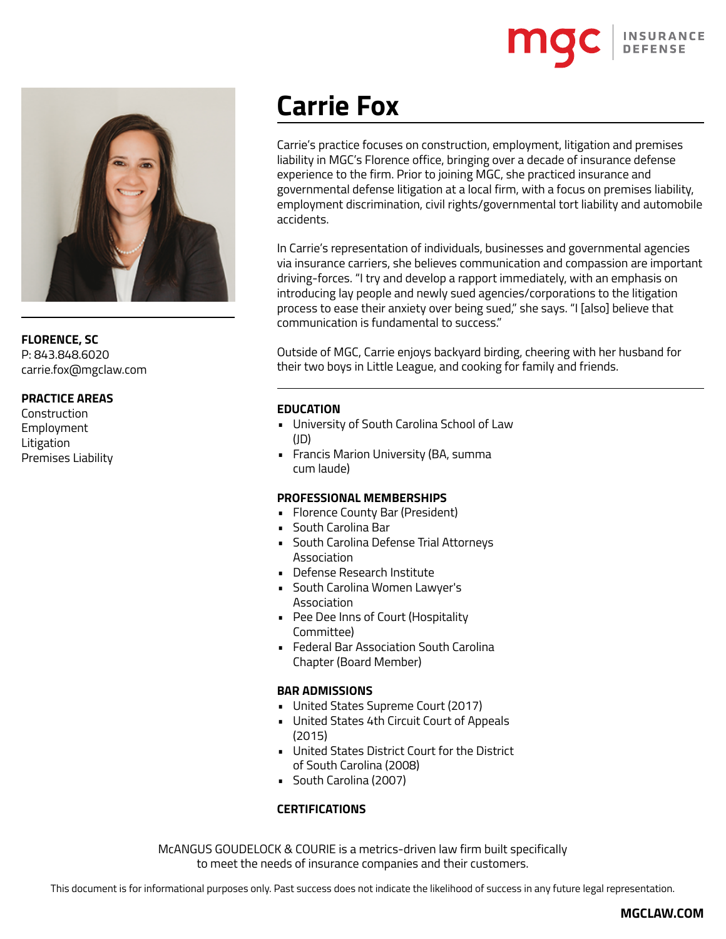

**FLORENCE, SC** P: 843.848.6020 carrie.fox@mgclaw.com

# **PRACTICE AREAS**

Construction Employment Litigation Premises Liability

# **Carrie Fox**

Carrie's practice focuses on construction, employment, litigation and premises liability in MGC's Florence office, bringing over a decade of insurance defense experience to the firm. Prior to joining MGC, she practiced insurance and governmental defense litigation at a local firm, with a focus on premises liability, employment discrimination, civil rights/governmental tort liability and automobile accidents.

In Carrie's representation of individuals, businesses and governmental agencies via insurance carriers, she believes communication and compassion are important driving-forces. "I try and develop a rapport immediately, with an emphasis on introducing lay people and newly sued agencies/corporations to the litigation process to ease their anxiety over being sued," she says. "I [also] believe that communication is fundamental to success."

Outside of MGC, Carrie enjoys backyard birding, cheering with her husband for their two boys in Little League, and cooking for family and friends.

### **EDUCATION**

- University of South Carolina School of Law (JD)
- Francis Marion University (BA, summa cum laude)

### **PROFESSIONAL MEMBERSHIPS**

- Florence County Bar (President)
- South Carolina Bar
- South Carolina Defense Trial Attorneys Association
- Defense Research Institute
- South Carolina Women Lawyer's Association
- Pee Dee Inns of Court (Hospitality Committee)
- Federal Bar Association South Carolina Chapter (Board Member)

### **BAR ADMISSIONS**

- United States Supreme Court (2017)
- United States 4th Circuit Court of Appeals (2015)
- United States District Court for the District of South Carolina (2008)
- South Carolina (2007)

## **CERTIFICATIONS**

McANGUS GOUDELOCK & COURIE is a metrics-driven law firm built specifically to meet the needs of insurance companies and their customers.

This document is for informational purposes only. Past success does not indicate the likelihood of success in any future legal representation.